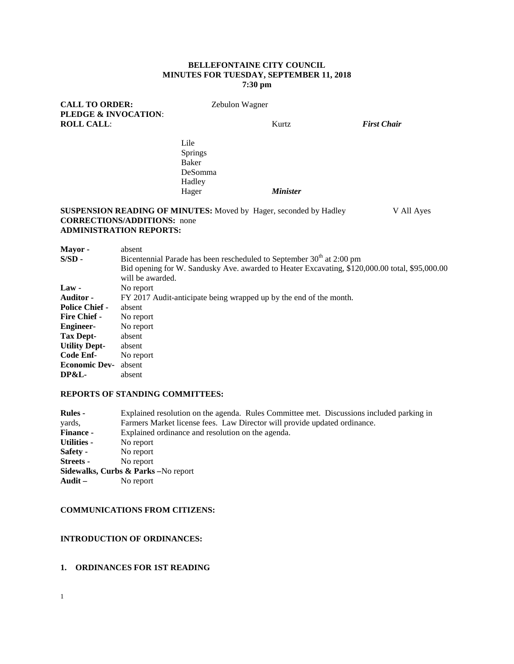#### **BELLEFONTAINE CITY COUNCIL MINUTES FOR TUESDAY, SEPTEMBER 11, 2018 7:30 pm**

| <b>CALL TO ORDER:</b><br><b>PLEDGE &amp; INVOCATION:</b>                                                                                         | Zebulon Wagner |                                |                    |  |  |
|--------------------------------------------------------------------------------------------------------------------------------------------------|----------------|--------------------------------|--------------------|--|--|
| <b>ROLL CALL:</b>                                                                                                                                | Kurtz          |                                | <b>First Chair</b> |  |  |
|                                                                                                                                                  | Lile           |                                |                    |  |  |
|                                                                                                                                                  | <b>Springs</b> |                                |                    |  |  |
|                                                                                                                                                  | Baker          |                                |                    |  |  |
|                                                                                                                                                  | DeSomma        |                                |                    |  |  |
|                                                                                                                                                  | Hadley         |                                |                    |  |  |
|                                                                                                                                                  | Hager          | <b>Minister</b>                |                    |  |  |
| <b>SUSPENSION READING OF MINUTES:</b> Moved by Hager, seconded by Hadley<br><b>CORRECTIONS/ADDITIONS:</b> none<br><b>ADMINISTRATION REPORTS:</b> |                |                                | V All Ayes         |  |  |
| <b>Mayor</b> -<br>absent<br>$\sim$ $\sim$                                                                                                        |                | ممط الممامات المستحدث المستحدث |                    |  |  |

| $S/SD -$              | Bicentennial Parade has been rescheduled to September 30 <sup>th</sup> at 2:00 pm              |  |  |  |  |  |  |
|-----------------------|------------------------------------------------------------------------------------------------|--|--|--|--|--|--|
|                       | Bid opening for W. Sandusky Ave. awarded to Heater Excavating, \$120,000.00 total, \$95,000.00 |  |  |  |  |  |  |
|                       | will be awarded.                                                                               |  |  |  |  |  |  |
| $Law -$               | No report                                                                                      |  |  |  |  |  |  |
| <b>Auditor</b> -      | FY 2017 Audit-anticipate being wrapped up by the end of the month.                             |  |  |  |  |  |  |
| <b>Police Chief -</b> | absent                                                                                         |  |  |  |  |  |  |
| <b>Fire Chief -</b>   | No report                                                                                      |  |  |  |  |  |  |
| <b>Engineer-</b>      | No report                                                                                      |  |  |  |  |  |  |
| Tax Dept-             | absent                                                                                         |  |  |  |  |  |  |
| <b>Utility Dept-</b>  | absent                                                                                         |  |  |  |  |  |  |
| Code Enf-             | No report                                                                                      |  |  |  |  |  |  |
| <b>Economic Dev-</b>  | absent                                                                                         |  |  |  |  |  |  |
| DP&L-                 | absent                                                                                         |  |  |  |  |  |  |

### **REPORTS OF STANDING COMMITTEES:**

| <b>Rules</b> -                                             | Explained resolution on the agenda. Rules Committee met. Discussions included parking in |  |  |  |  |  |  |
|------------------------------------------------------------|------------------------------------------------------------------------------------------|--|--|--|--|--|--|
| yards,                                                     | Farmers Market license fees. Law Director will provide updated ordinance.                |  |  |  |  |  |  |
| <b>Finance -</b>                                           | Explained ordinance and resolution on the agenda.                                        |  |  |  |  |  |  |
| Utilities -                                                | No report                                                                                |  |  |  |  |  |  |
| <b>Safety -</b>                                            | No report                                                                                |  |  |  |  |  |  |
| Streets -                                                  | No report                                                                                |  |  |  |  |  |  |
| Sidewalks, Curbs & Parks - No report                       |                                                                                          |  |  |  |  |  |  |
| $\mathbf{A} \mathbf{u} \mathbf{d} \mathbf{i} \mathbf{t}$ – | No report                                                                                |  |  |  |  |  |  |

### **COMMUNICATIONS FROM CITIZENS:**

### **INTRODUCTION OF ORDINANCES:**

# **1. ORDINANCES FOR 1ST READING**